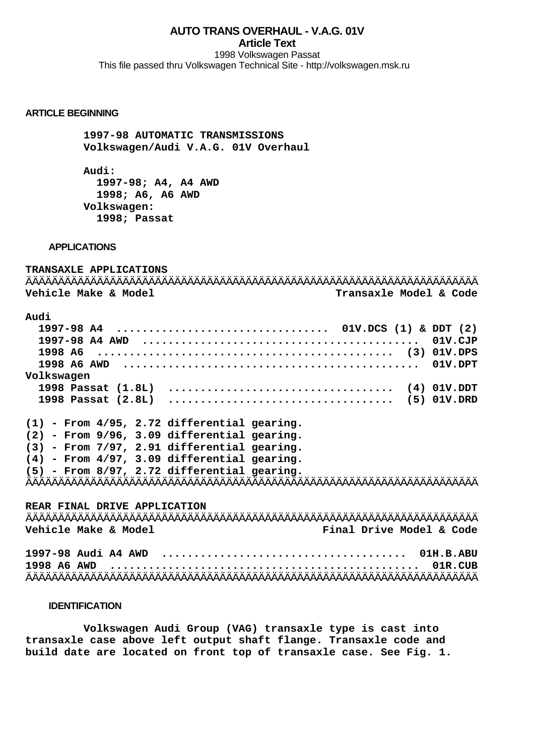## **AUTO TRANS OVERHAUL - V.A.G. 01V Article Text**

1998 Volkswagen Passat This file passed thru Volkswagen Technical Site - http://volkswagen.msk.ru

## **ARTICLE BEGINNING**

 **1997-98 AUTOMATIC TRANSMISSIONS Volkswagen/Audi V.A.G. 01V Overhaul**

 **Audi: 1997-98; A4, A4 AWD 1998; A6, A6 AWD Volkswagen: 1998; Passat**

### **APPLICATIONS**

**TRANSAXLE APPLICATIONS** ÄÄÄÄÄÄÄÄÄÄÄÄÄÄÄÄÄÄÄÄÄÄÄÄÄÄÄÄÄÄÄÄÄÄÄÄÄÄÄÄÄÄÄÄÄÄÄÄÄÄÄÄÄÄÄÄÄÄÄÄÄÄÄÄÄÄÄÄÄÄ **Vehicle Make & Model Transaxle Model & Code Audi 1997-98 A4 ................................. 01V.DCS (1) & DDT (2) 1997-98 A4 AWD ........................................... 01V.CJP 1998 A6 .............................................. (3) 01V.DPS 1998 A6 AWD .............................................. 01V.DPT Volkswagen 1998 Passat (1.8L) ................................... (4) 01V.DDT 1998 Passat (2.8L) ................................... (5) 01V.DRD**

**(1) - From 4/95, 2.72 differential gearing. (2) - From 9/96, 3.09 differential gearing. (3) - From 7/97, 2.91 differential gearing. (4) - From 4/97, 3.09 differential gearing. (5) - From 8/97, 2.72 differential gearing.** ÄÄÄÄÄÄÄÄÄÄÄÄÄÄÄÄÄÄÄÄÄÄÄÄÄÄÄÄÄÄÄÄÄÄÄÄÄÄÄÄÄÄÄÄÄÄÄÄÄÄÄÄÄÄÄÄÄÄÄÄÄÄÄÄÄÄÄÄÄÄ

**REAR FINAL DRIVE APPLICATION** ÄÄÄÄÄÄÄÄÄÄÄÄÄÄÄÄÄÄÄÄÄÄÄÄÄÄÄÄÄÄÄÄÄÄÄÄÄÄÄÄÄÄÄÄÄÄÄÄÄÄÄÄÄÄÄÄÄÄÄÄÄÄÄÄÄÄÄÄÄÄ **Vehicle Make & Model Final Drive Model & Code**

**1997-98 Audi A4 AWD ...................................... 01H.B.ABU 1998 A6 AWD ................................................ 01R.CUB** ÄÄÄÄÄÄÄÄÄÄÄÄÄÄÄÄÄÄÄÄÄÄÄÄÄÄÄÄÄÄÄÄÄÄÄÄÄÄÄÄÄÄÄÄÄÄÄÄÄÄÄÄÄÄÄÄÄÄÄÄÄÄÄÄÄÄÄÄÄÄ

## **IDENTIFICATION**

 **Volkswagen Audi Group (VAG) transaxle type is cast into transaxle case above left output shaft flange. Transaxle code and build date are located on front top of transaxle case. See Fig. 1.**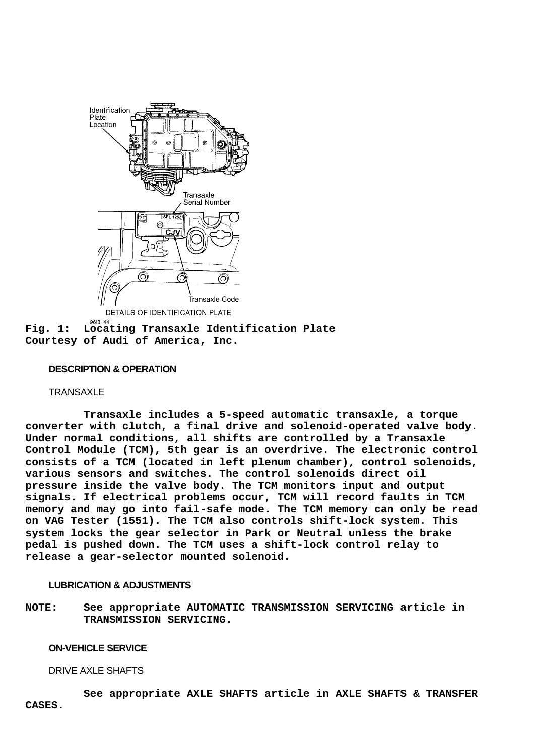

**Fig. 1: Locating Transaxle Identification Plate Courtesy of Audi of America, Inc.**

## **DESCRIPTION & OPERATION**

### **TRANSAXLE**

 **Transaxle includes a 5-speed automatic transaxle, a torque converter with clutch, a final drive and solenoid-operated valve body. Under normal conditions, all shifts are controlled by a Transaxle Control Module (TCM), 5th gear is an overdrive. The electronic control consists of a TCM (located in left plenum chamber), control solenoids, various sensors and switches. The control solenoids direct oil pressure inside the valve body. The TCM monitors input and output signals. If electrical problems occur, TCM will record faults in TCM memory and may go into fail-safe mode. The TCM memory can only be read on VAG Tester (1551). The TCM also controls shift-lock system. This system locks the gear selector in Park or Neutral unless the brake pedal is pushed down. The TCM uses a shift-lock control relay to release a gear-selector mounted solenoid.**

# **LUBRICATION & ADJUSTMENTS**

**NOTE: See appropriate AUTOMATIC TRANSMISSION SERVICING article in TRANSMISSION SERVICING.**

### **ON-VEHICLE SERVICE**

#### DRIVE AXLE SHAFTS

 **See appropriate AXLE SHAFTS article in AXLE SHAFTS & TRANSFER CASES.**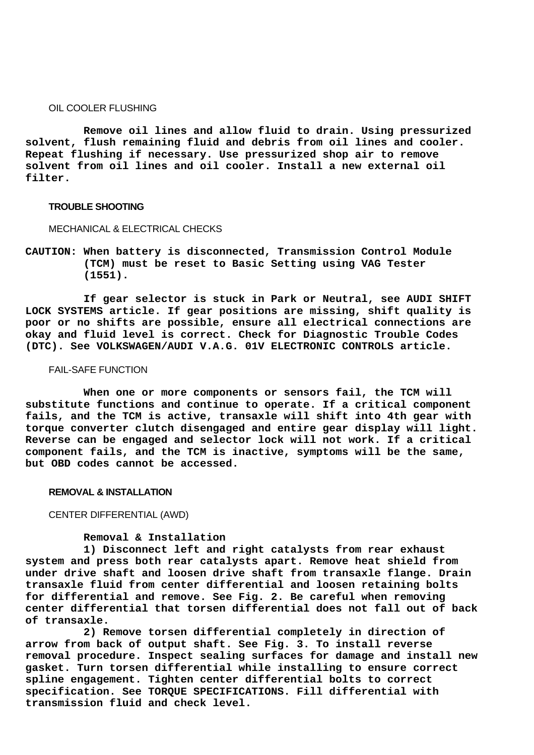#### OIL COOLER FLUSHING

 **Remove oil lines and allow fluid to drain. Using pressurized solvent, flush remaining fluid and debris from oil lines and cooler. Repeat flushing if necessary. Use pressurized shop air to remove solvent from oil lines and oil cooler. Install a new external oil filter.**

#### **TROUBLE SHOOTING**

### MECHANICAL & ELECTRICAL CHECKS

**CAUTION: When battery is disconnected, Transmission Control Module (TCM) must be reset to Basic Setting using VAG Tester (1551).**

 **If gear selector is stuck in Park or Neutral, see AUDI SHIFT LOCK SYSTEMS article. If gear positions are missing, shift quality is poor or no shifts are possible, ensure all electrical connections are okay and fluid level is correct. Check for Diagnostic Trouble Codes (DTC). See VOLKSWAGEN/AUDI V.A.G. 01V ELECTRONIC CONTROLS article.**

## FAIL-SAFE FUNCTION

 **When one or more components or sensors fail, the TCM will substitute functions and continue to operate. If a critical component fails, and the TCM is active, transaxle will shift into 4th gear with torque converter clutch disengaged and entire gear display will light. Reverse can be engaged and selector lock will not work. If a critical component fails, and the TCM is inactive, symptoms will be the same, but OBD codes cannot be accessed.**

#### **REMOVAL & INSTALLATION**

CENTER DIFFERENTIAL (AWD)

#### **Removal & Installation**

 **1) Disconnect left and right catalysts from rear exhaust system and press both rear catalysts apart. Remove heat shield from under drive shaft and loosen drive shaft from transaxle flange. Drain transaxle fluid from center differential and loosen retaining bolts for differential and remove. See Fig. 2. Be careful when removing center differential that torsen differential does not fall out of back of transaxle.**

 **2) Remove torsen differential completely in direction of arrow from back of output shaft. See Fig. 3. To install reverse removal procedure. Inspect sealing surfaces for damage and install new gasket. Turn torsen differential while installing to ensure correct spline engagement. Tighten center differential bolts to correct specification. See TORQUE SPECIFICATIONS. Fill differential with transmission fluid and check level.**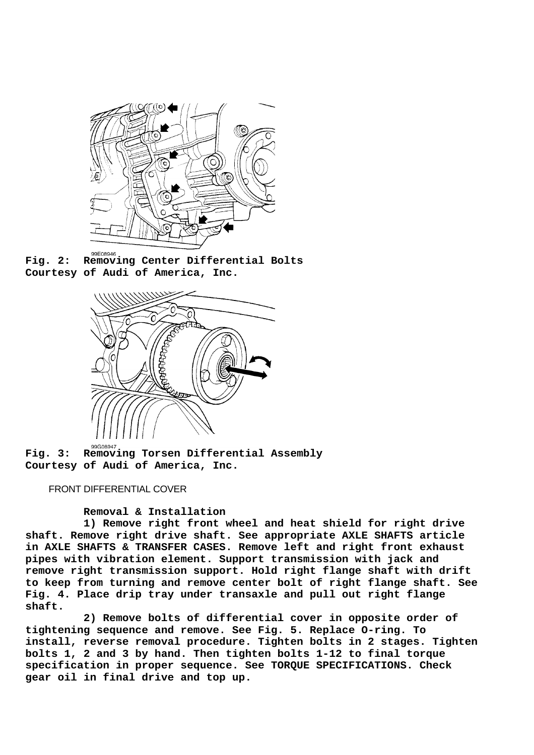

**Fig. 2: Removing Center Differential Bolts Courtesy of Audi of America, Inc.**



**Fig. 3: Removing Torsen Differential Assembly Courtesy of Audi of America, Inc.**

## FRONT DIFFERENTIAL COVER

 **Removal & Installation**

 **1) Remove right front wheel and heat shield for right drive shaft. Remove right drive shaft. See appropriate AXLE SHAFTS article in AXLE SHAFTS & TRANSFER CASES. Remove left and right front exhaust pipes with vibration element. Support transmission with jack and remove right transmission support. Hold right flange shaft with drift to keep from turning and remove center bolt of right flange shaft. See Fig. 4. Place drip tray under transaxle and pull out right flange shaft.**

 **2) Remove bolts of differential cover in opposite order of tightening sequence and remove. See Fig. 5. Replace O-ring. To install, reverse removal procedure. Tighten bolts in 2 stages. Tighten bolts 1, 2 and 3 by hand. Then tighten bolts 1-12 to final torque specification in proper sequence. See TORQUE SPECIFICATIONS. Check gear oil in final drive and top up.**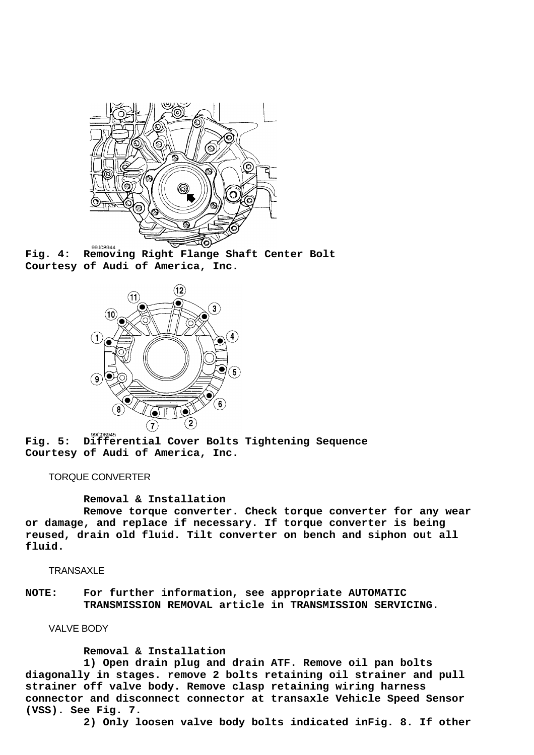

**Fig. 4: Removing Right Flange Shaft Center Bolt Courtesy of Audi of America, Inc.**



**Fig. 5: Differential Cover Bolts Tightening Sequence Courtesy of Audi of America, Inc.**

## TORQUE CONVERTER

 **Removal & Installation**

 **Remove torque converter. Check torque converter for any wear or damage, and replace if necessary. If torque converter is being reused, drain old fluid. Tilt converter on bench and siphon out all fluid.**

TRANSAXLE

**NOTE: For further information, see appropriate AUTOMATIC TRANSMISSION REMOVAL article in TRANSMISSION SERVICING.**

VALVE BODY

 **Removal & Installation**

 **1) Open drain plug and drain ATF. Remove oil pan bolts diagonally in stages. remove 2 bolts retaining oil strainer and pull strainer off valve body. Remove clasp retaining wiring harness connector and disconnect connector at transaxle Vehicle Speed Sensor (VSS). See Fig. 7.**

 **2) Only loosen valve body bolts indicated inFig. 8. If other**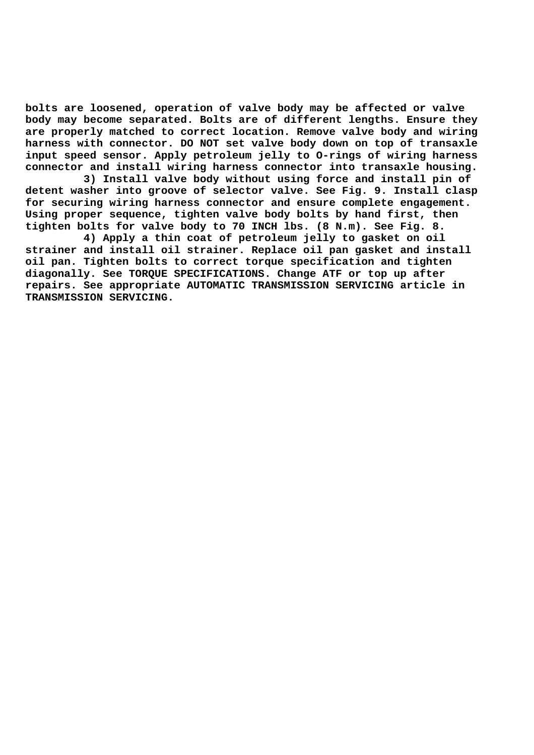**bolts are loosened, operation of valve body may be affected or valve body may become separated. Bolts are of different lengths. Ensure they are properly matched to correct location. Remove valve body and wiring harness with connector. DO NOT set valve body down on top of transaxle input speed sensor. Apply petroleum jelly to O-rings of wiring harness connector and install wiring harness connector into transaxle housing.**

 **3) Install valve body without using force and install pin of detent washer into groove of selector valve. See Fig. 9. Install clasp for securing wiring harness connector and ensure complete engagement. Using proper sequence, tighten valve body bolts by hand first, then tighten bolts for valve body to 70 INCH lbs. (8 N.m). See Fig. 8.**

 **4) Apply a thin coat of petroleum jelly to gasket on oil strainer and install oil strainer. Replace oil pan gasket and install oil pan. Tighten bolts to correct torque specification and tighten diagonally. See TORQUE SPECIFICATIONS. Change ATF or top up after repairs. See appropriate AUTOMATIC TRANSMISSION SERVICING article in TRANSMISSION SERVICING.**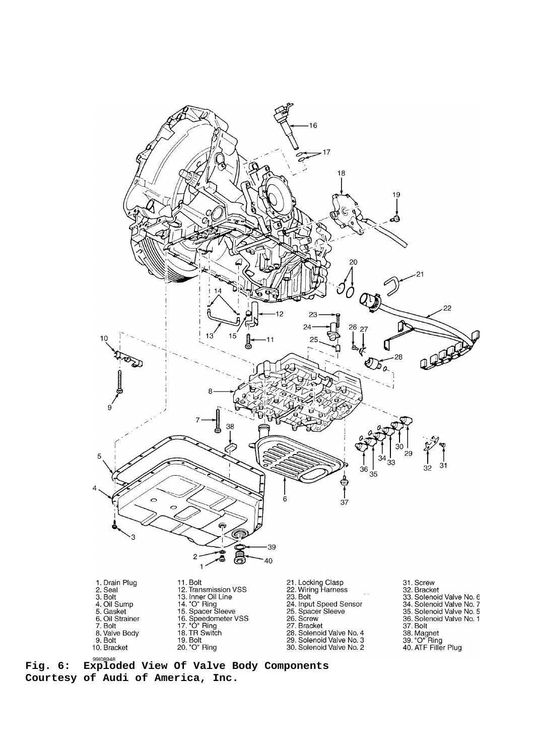

**Fig. 6: Exploded View Of Valve Body Components Courtesy of Audi of America, Inc.**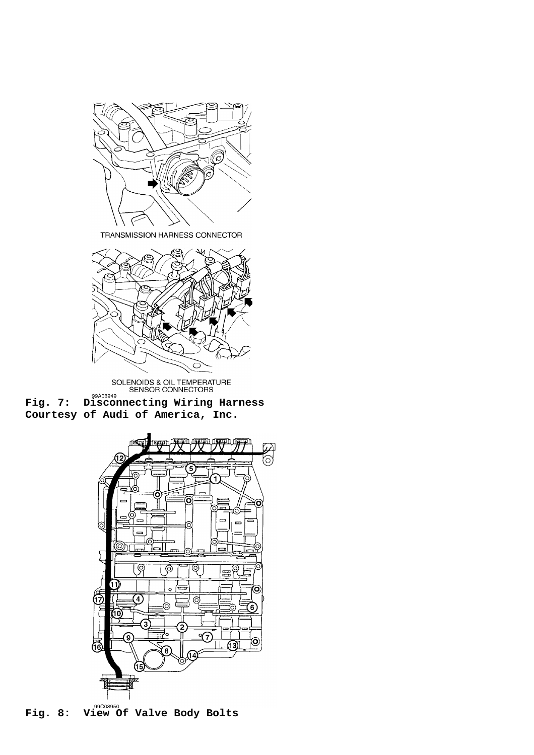

TRANSMISSION HARNESS CONNECTOR



SOLENOIDS & OIL TEMPERATURE<br>
SENSOR CONNECTORS

**Fig. 7:** Disconnecting Wiring Harness **Courtesy of Audi of America, Inc.**



**Fig. 8: View Of Valve Body Bolts**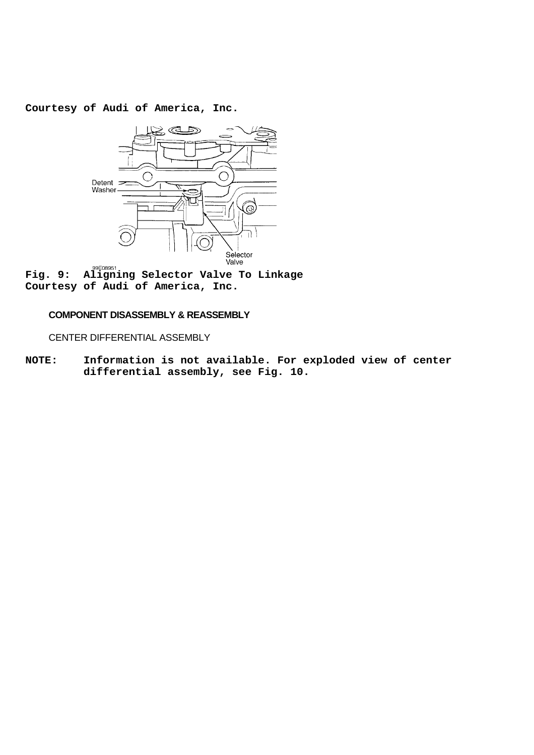**Courtesy of Audi of America, Inc.**



**Fig. 9: Aligning Selector Valve** Valle To Linkage **Courtesy of Audi of America, Inc.**

## **COMPONENT DISASSEMBLY & REASSEMBLY**

CENTER DIFFERENTIAL ASSEMBLY

**NOTE: Information is not available. For exploded view of center differential assembly, see Fig. 10.**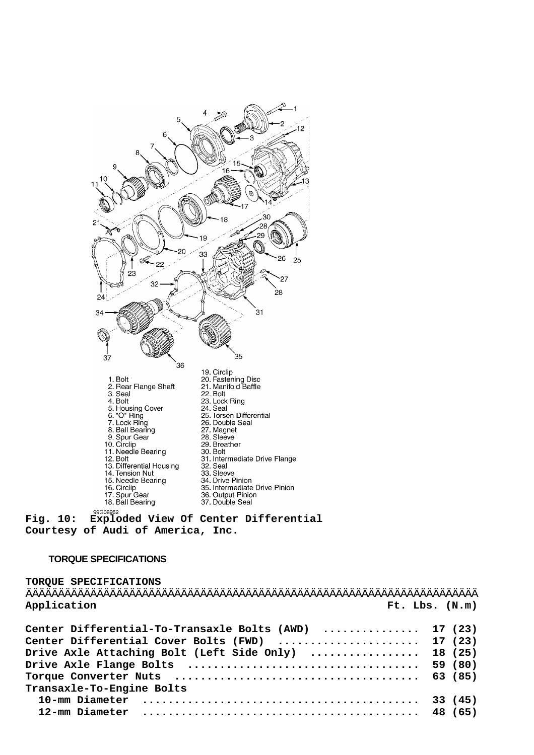

**Courtesy of Audi of America, Inc.**

## **TORQUE SPECIFICATIONS**

# **TORQUE SPECIFICATIONS** ÄÄÄÄÄÄÄÄÄÄÄÄÄÄÄÄÄÄÄÄÄÄÄÄÄÄÄÄÄÄÄÄÄÄÄÄÄÄÄÄÄÄÄÄÄÄÄÄÄÄÄÄÄÄÄÄÄÄÄÄÄÄÄÄÄÄÄÄÄÄ **Application Ft. Lbs. (N.m)**

| Center Differential-To-Transaxle Bolts (AWD)  17 (23) |  |
|-------------------------------------------------------|--|
| Center Differential Cover Bolts (FWD)  17 (23)        |  |
| Drive Axle Attaching Bolt (Left Side Only)  18 (25)   |  |
|                                                       |  |
|                                                       |  |
| Transaxle-To-Engine Bolts                             |  |
|                                                       |  |
|                                                       |  |